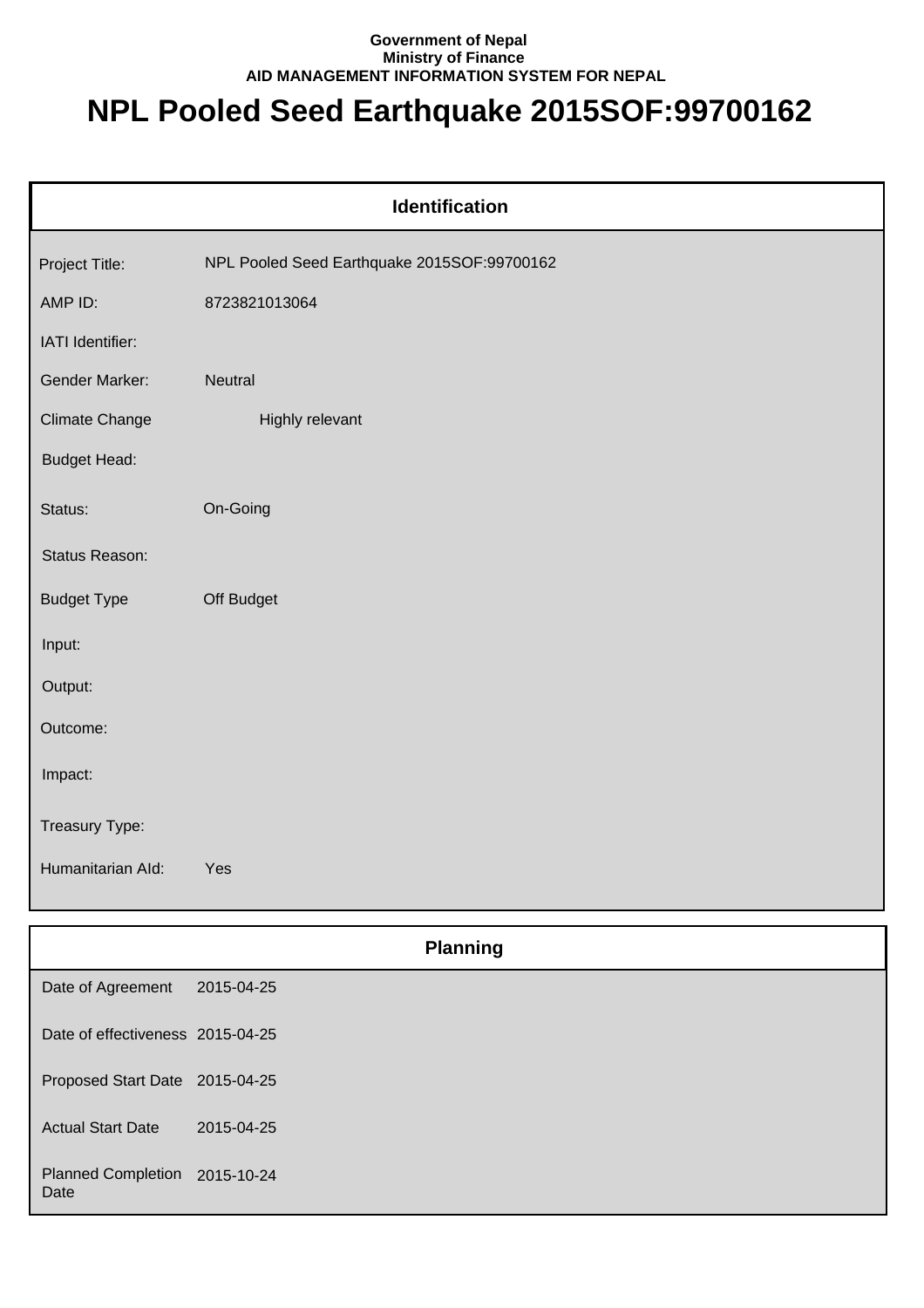## **Government of Nepal Ministry of Finance AID MANAGEMENT INFORMATION SYSTEM FOR NEPAL**

## **NPL Pooled Seed Earthquake 2015SOF:99700162**

| Identification        |                                             |  |  |
|-----------------------|---------------------------------------------|--|--|
| Project Title:        | NPL Pooled Seed Earthquake 2015SOF:99700162 |  |  |
| AMP ID:               | 8723821013064                               |  |  |
| IATI Identifier:      |                                             |  |  |
| Gender Marker:        | Neutral                                     |  |  |
| <b>Climate Change</b> | Highly relevant                             |  |  |
| <b>Budget Head:</b>   |                                             |  |  |
| Status:               | On-Going                                    |  |  |
| Status Reason:        |                                             |  |  |
| <b>Budget Type</b>    | Off Budget                                  |  |  |
| Input:                |                                             |  |  |
| Output:               |                                             |  |  |
| Outcome:              |                                             |  |  |
| Impact:               |                                             |  |  |
| Treasury Type:        |                                             |  |  |
| Humanitarian Ald:     | Yes                                         |  |  |
|                       |                                             |  |  |
|                       | <b>Planning</b>                             |  |  |
| Date of Agreement     | 2015-04-25                                  |  |  |

| Proposed Start Date 2015-04-25 |  |
|--------------------------------|--|

Date of effectiveness 2015-04-25

Actual Start Date 2015-04-25

Planned Completion 2015-10-24 Date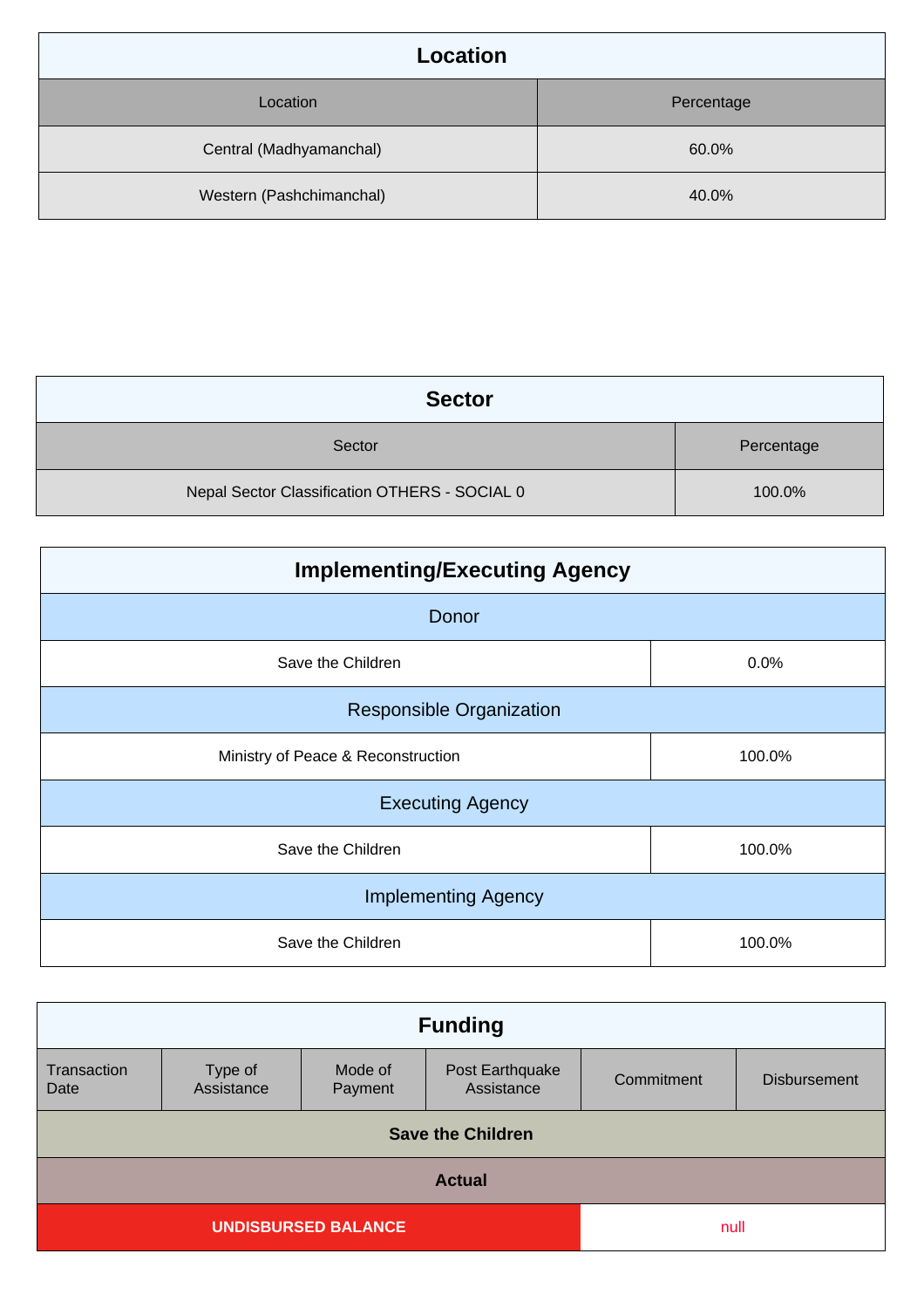| Location                 |            |
|--------------------------|------------|
| Location                 | Percentage |
| Central (Madhyamanchal)  | 60.0%      |
| Western (Pashchimanchal) | 40.0%      |

| <b>Sector</b>                                 |            |
|-----------------------------------------------|------------|
| Sector                                        | Percentage |
| Nepal Sector Classification OTHERS - SOCIAL 0 | 100.0%     |

| <b>Implementing/Executing Agency</b> |        |  |
|--------------------------------------|--------|--|
| Donor                                |        |  |
| Save the Children                    | 0.0%   |  |
| <b>Responsible Organization</b>      |        |  |
| Ministry of Peace & Reconstruction   | 100.0% |  |
| <b>Executing Agency</b>              |        |  |
| Save the Children                    | 100.0% |  |
| <b>Implementing Agency</b>           |        |  |
| Save the Children                    | 100.0% |  |

| <b>Funding</b>                     |                       |                    |                               |            |                     |
|------------------------------------|-----------------------|--------------------|-------------------------------|------------|---------------------|
| Transaction<br>Date                | Type of<br>Assistance | Mode of<br>Payment | Post Earthquake<br>Assistance | Commitment | <b>Disbursement</b> |
| <b>Save the Children</b>           |                       |                    |                               |            |                     |
| <b>Actual</b>                      |                       |                    |                               |            |                     |
| <b>UNDISBURSED BALANCE</b><br>null |                       |                    |                               |            |                     |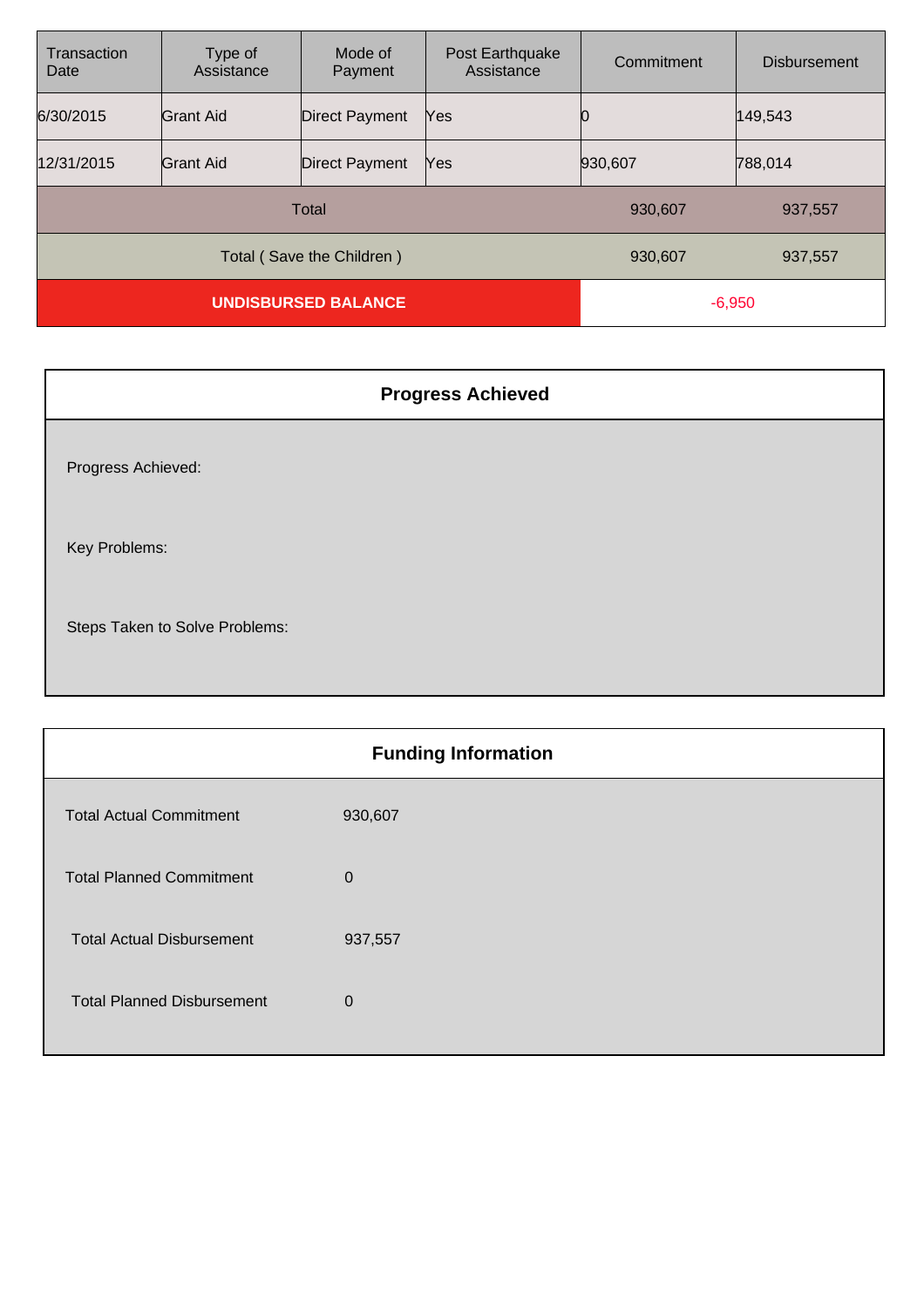| Transaction<br>Date        | Type of<br>Assistance | Mode of<br>Payment    | Post Earthquake<br>Assistance | Commitment | <b>Disbursement</b> |
|----------------------------|-----------------------|-----------------------|-------------------------------|------------|---------------------|
| 6/30/2015                  | <b>Grant Aid</b>      | <b>Direct Payment</b> | Yes                           |            | 149,543             |
| 12/31/2015                 | <b>Grant Aid</b>      | <b>Direct Payment</b> | Yes                           | 930,607    | 788,014             |
| <b>Total</b>               |                       |                       | 930,607                       | 937,557    |                     |
| Total (Save the Children)  |                       |                       | 930,607                       | 937,557    |                     |
| <b>UNDISBURSED BALANCE</b> |                       |                       | $-6,950$                      |            |                     |

| <b>Progress Achieved</b>       |
|--------------------------------|
| Progress Achieved:             |
| Key Problems:                  |
| Steps Taken to Solve Problems: |

| <b>Funding Information</b>        |              |  |
|-----------------------------------|--------------|--|
| <b>Total Actual Commitment</b>    | 930,607      |  |
| <b>Total Planned Commitment</b>   | $\mathbf 0$  |  |
| <b>Total Actual Disbursement</b>  | 937,557      |  |
| <b>Total Planned Disbursement</b> | $\mathbf{0}$ |  |